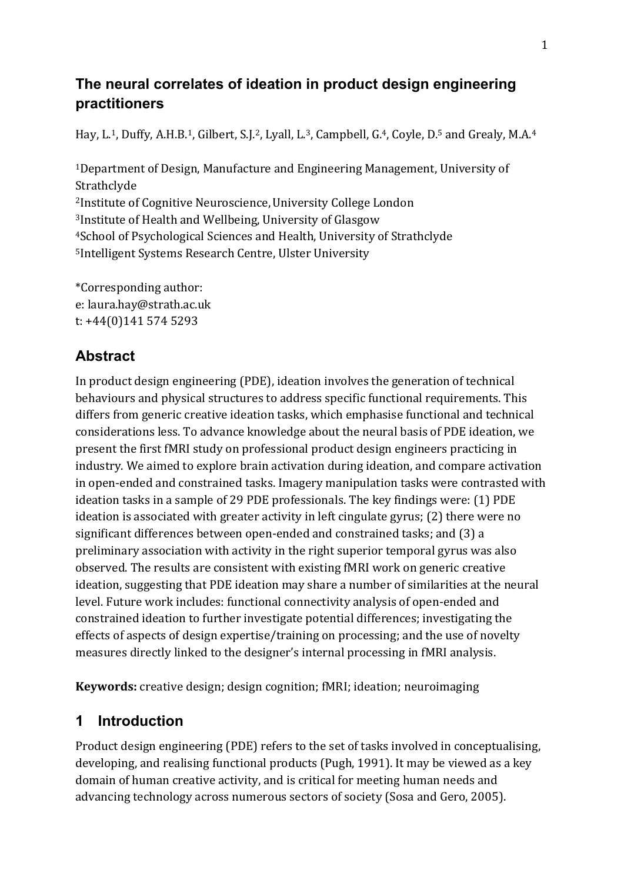# **The neural correlates of ideation in product design engineering practitioners**

Hay, L.<sup>1</sup>, Duffy, A.H.B.<sup>1</sup>, Gilbert, S.J.<sup>2</sup>, Lyall, L.<sup>3</sup>, Campbell, G.<sup>4</sup>, Coyle, D.<sup>5</sup> and Grealy, M.A.<sup>4</sup>

1Department of Design, Manufacture and Engineering Management, University of Strathclyde 2Institute of Cognitive Neuroscience,University College London 3Institute of Health and Wellbeing, University of Glasgow 4School of Psychological Sciences and Health, University of Strathclyde 5Intelligent Systems Research Centre, Ulster University

\*Corresponding author: e: laura.hay@strath.ac.uk t: +44(0)141 574 5293

# **Abstract**

In product design engineering (PDE), ideation involves the generation of technical behaviours and physical structures to address specific functional requirements. This differs from generic creative ideation tasks, which emphasise functional and technical considerations less. To advance knowledge about the neural basis of PDE ideation, we present the first fMRI study on professional product design engineers practicing in industry. We aimed to explore brain activation during ideation, and compare activation in open-ended and constrained tasks. Imagery manipulation tasks were contrasted with ideation tasks in a sample of 29 PDE professionals. The key findings were: (1) PDE ideation is associated with greater activity in left cingulate gyrus; (2) there were no significant differences between open-ended and constrained tasks; and (3) a preliminary association with activity in the right superior temporal gyrus was also observed. The results are consistent with existing fMRI work on generic creative ideation, suggesting that PDE ideation may share a number of similarities at the neural level. Future work includes: functional connectivity analysis of open-ended and constrained ideation to further investigate potential differences; investigating the effects of aspects of design expertise/training on processing; and the use of novelty measures directly linked to the designer's internal processing in fMRI analysis.

**Keywords:** creative design; design cognition; fMRI; ideation; neuroimaging

# **1 Introduction**

Product design engineering (PDE) refers to the set of tasks involved in conceptualising, developing, and realising functional products (Pugh, 1991). It may be viewed as a key domain of human creative activity, and is critical for meeting human needs and advancing technology across numerous sectors of society (Sosa and Gero, 2005).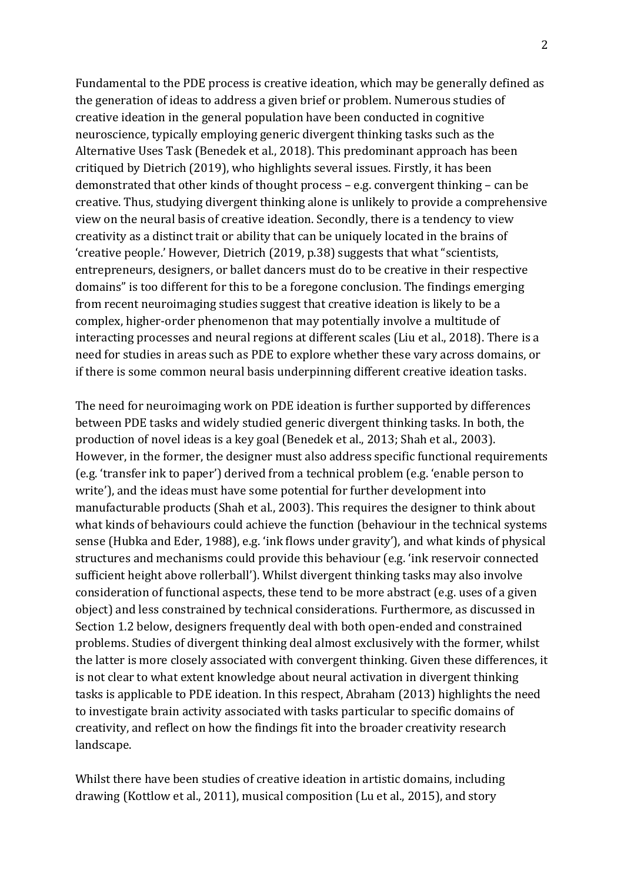Fundamental to the PDE process is creative ideation, which may be generally defined as the generation of ideas to address a given brief or problem. Numerous studies of creative ideation in the general population have been conducted in cognitive neuroscience, typically employing generic divergent thinking tasks such as the Alternative Uses Task (Benedek et al., 2018). This predominant approach has been critiqued by Dietrich (2019), who highlights several issues. Firstly, it has been demonstrated that other kinds of thought process – e.g. convergent thinking – can be creative. Thus, studying divergent thinking alone is unlikely to provide a comprehensive view on the neural basis of creative ideation. Secondly, there is a tendency to view creativity as a distinct trait or ability that can be uniquely located in the brains of 'creative people.' However, Dietrich (2019, p.38) suggests that what "scientists, entrepreneurs, designers, or ballet dancers must do to be creative in their respective domains" is too different for this to be a foregone conclusion. The findings emerging from recent neuroimaging studies suggest that creative ideation is likely to be a complex, higher-order phenomenon that may potentially involve a multitude of interacting processes and neural regions at different scales (Liu et al., 2018). There is a need for studies in areas such as PDE to explore whether these vary across domains, or if there is some common neural basis underpinning different creative ideation tasks.

The need for neuroimaging work on PDE ideation is further supported by differences between PDE tasks and widely studied generic divergent thinking tasks. In both, the production of novel ideas is a key goal (Benedek et al., 2013; Shah et al., 2003). However, in the former, the designer must also address specific functional requirements (e.g. 'transfer ink to paper') derived from a technical problem (e.g. 'enable person to write'), and the ideas must have some potential for further development into manufacturable products (Shah et al., 2003). This requires the designer to think about what kinds of behaviours could achieve the function (behaviour in the technical systems sense (Hubka and Eder, 1988), e.g. 'ink flows under gravity'), and what kinds of physical structures and mechanisms could provide this behaviour (e.g. 'ink reservoir connected sufficient height above rollerball'). Whilst divergent thinking tasks may also involve consideration of functional aspects, these tend to be more abstract (e.g. uses of a given object) and less constrained by technical considerations. Furthermore, as discussed in Section [1.2](#page-4-0) below, designers frequently deal with both open-ended and constrained problems. Studies of divergent thinking deal almost exclusively with the former, whilst the latter is more closely associated with convergent thinking. Given these differences, it is not clear to what extent knowledge about neural activation in divergent thinking tasks is applicable to PDE ideation. In this respect, Abraham (2013) highlights the need to investigate brain activity associated with tasks particular to specific domains of creativity, and reflect on how the findings fit into the broader creativity research landscape.

Whilst there have been studies of creative ideation in artistic domains, including drawing (Kottlow et al., 2011), musical composition (Lu et al., 2015), and story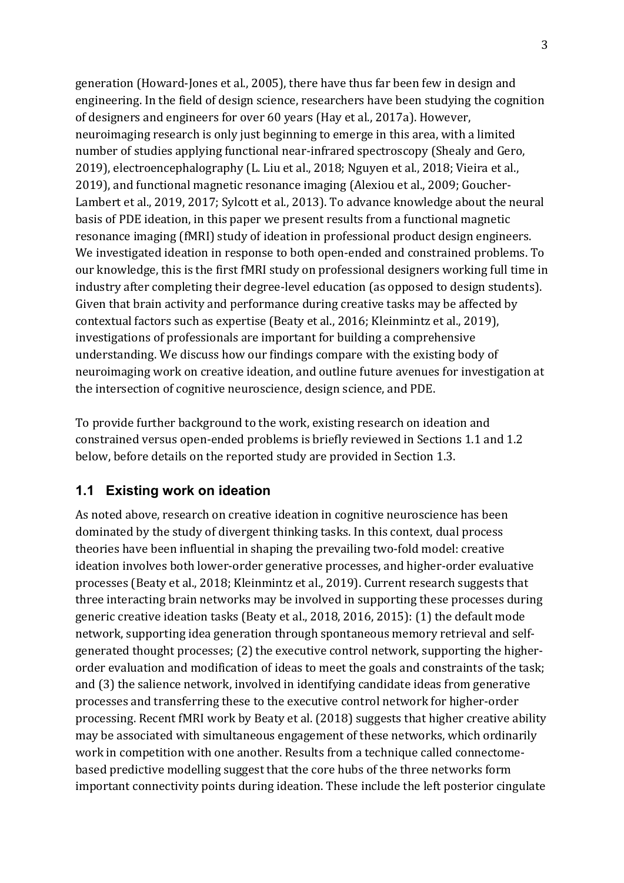generation (Howard-Jones et al., 2005), there have thus far been few in design and engineering. In the field of design science, researchers have been studying the cognition of designers and engineers for over 60 years (Hay et al., 2017a). However, neuroimaging research is only just beginning to emerge in this area, with a limited number of studies applying functional near-infrared spectroscopy (Shealy and Gero, 2019), electroencephalography (L. Liu et al., 2018; Nguyen et al., 2018; Vieira et al., 2019), and functional magnetic resonance imaging (Alexiou et al., 2009; Goucher-Lambert et al., 2019, 2017; Sylcott et al., 2013). To advance knowledge about the neural basis of PDE ideation, in this paper we present results from a functional magnetic resonance imaging (fMRI) study of ideation in professional product design engineers. We investigated ideation in response to both open-ended and constrained problems. To our knowledge, this is the first fMRI study on professional designers working full time in industry after completing their degree-level education (as opposed to design students). Given that brain activity and performance during creative tasks may be affected by contextual factors such as expertise (Beaty et al., 2016; Kleinmintz et al., 2019), investigations of professionals are important for building a comprehensive understanding. We discuss how our findings compare with the existing body of neuroimaging work on creative ideation, and outline future avenues for investigation at the intersection of cognitive neuroscience, design science, and PDE.

To provide further background to the work, existing research on ideation and constrained versus open-ended problems is briefly reviewed in Sections 1.1 and 1.2 below, before details on the reported study are provided in Section 1.3.

## <span id="page-2-0"></span>**1.1 Existing work on ideation**

As noted above, research on creative ideation in cognitive neuroscience has been dominated by the study of divergent thinking tasks. In this context, dual process theories have been influential in shaping the prevailing two-fold model: creative ideation involves both lower-order generative processes, and higher-order evaluative processes (Beaty et al., 2018; Kleinmintz et al., 2019). Current research suggests that three interacting brain networks may be involved in supporting these processes during generic creative ideation tasks (Beaty et al., 2018, 2016, 2015): (1) the default mode network, supporting idea generation through spontaneous memory retrieval and selfgenerated thought processes; (2) the executive control network, supporting the higherorder evaluation and modification of ideas to meet the goals and constraints of the task; and (3) the salience network, involved in identifying candidate ideas from generative processes and transferring these to the executive control network for higher-order processing. Recent fMRI work by Beaty et al. (2018) suggests that higher creative ability may be associated with simultaneous engagement of these networks, which ordinarily work in competition with one another. Results from a technique called connectomebased predictive modelling suggest that the core hubs of the three networks form important connectivity points during ideation. These include the left posterior cingulate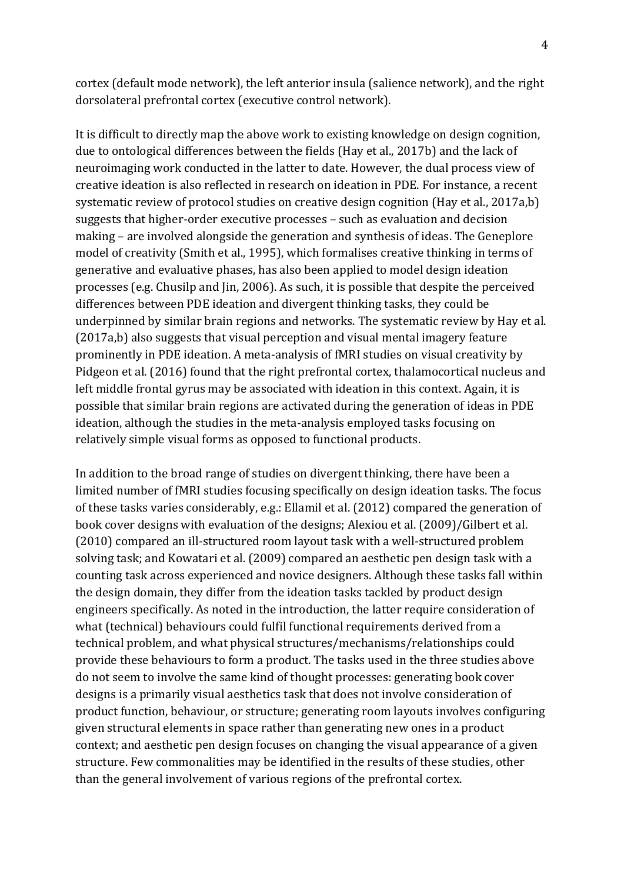cortex (default mode network), the left anterior insula (salience network), and the right dorsolateral prefrontal cortex (executive control network).

It is difficult to directly map the above work to existing knowledge on design cognition, due to ontological differences between the fields (Hay et al., 2017b) and the lack of neuroimaging work conducted in the latter to date. However, the dual process view of creative ideation is also reflected in research on ideation in PDE. For instance, a recent systematic review of protocol studies on creative design cognition (Hay et al., 2017a,b) suggests that higher-order executive processes – such as evaluation and decision making – are involved alongside the generation and synthesis of ideas. The Geneplore model of creativity (Smith et al., 1995), which formalises creative thinking in terms of generative and evaluative phases, has also been applied to model design ideation processes (e.g. Chusilp and Jin, 2006). As such, it is possible that despite the perceived differences between PDE ideation and divergent thinking tasks, they could be underpinned by similar brain regions and networks. The systematic review by Hay et al. (2017a,b) also suggests that visual perception and visual mental imagery feature prominently in PDE ideation. A meta-analysis of fMRI studies on visual creativity by Pidgeon et al. (2016) found that the right prefrontal cortex, thalamocortical nucleus and left middle frontal gyrus may be associated with ideation in this context. Again, it is possible that similar brain regions are activated during the generation of ideas in PDE ideation, although the studies in the meta-analysis employed tasks focusing on relatively simple visual forms as opposed to functional products.

In addition to the broad range of studies on divergent thinking, there have been a limited number of fMRI studies focusing specifically on design ideation tasks. The focus of these tasks varies considerably, e.g.: Ellamil et al. (2012) compared the generation of book cover designs with evaluation of the designs; Alexiou et al. (2009)/Gilbert et al. (2010) compared an ill-structured room layout task with a well-structured problem solving task; and Kowatari et al. (2009) compared an aesthetic pen design task with a counting task across experienced and novice designers. Although these tasks fall within the design domain, they differ from the ideation tasks tackled by product design engineers specifically. As noted in the introduction, the latter require consideration of what (technical) behaviours could fulfil functional requirements derived from a technical problem, and what physical structures/mechanisms/relationships could provide these behaviours to form a product. The tasks used in the three studies above do not seem to involve the same kind of thought processes: generating book cover designs is a primarily visual aesthetics task that does not involve consideration of product function, behaviour, or structure; generating room layouts involves configuring given structural elements in space rather than generating new ones in a product context; and aesthetic pen design focuses on changing the visual appearance of a given structure. Few commonalities may be identified in the results of these studies, other than the general involvement of various regions of the prefrontal cortex.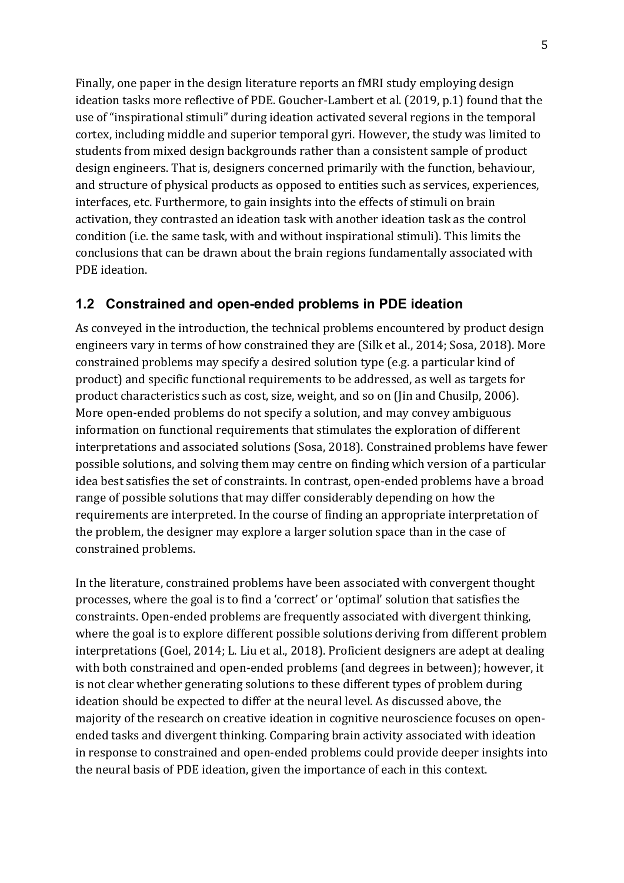Finally, one paper in the design literature reports an fMRI study employing design ideation tasks more reflective of PDE. Goucher-Lambert et al. (2019, p.1) found that the use of "inspirational stimuli" during ideation activated several regions in the temporal cortex, including middle and superior temporal gyri. However, the study was limited to students from mixed design backgrounds rather than a consistent sample of product design engineers. That is, designers concerned primarily with the function, behaviour, and structure of physical products as opposed to entities such as services, experiences, interfaces, etc. Furthermore, to gain insights into the effects of stimuli on brain activation, they contrasted an ideation task with another ideation task as the control condition (i.e. the same task, with and without inspirational stimuli). This limits the conclusions that can be drawn about the brain regions fundamentally associated with PDE ideation.

#### <span id="page-4-0"></span>**1.2 Constrained and open-ended problems in PDE ideation**

As conveyed in the introduction, the technical problems encountered by product design engineers vary in terms of how constrained they are (Silk et al., 2014; Sosa, 2018). More constrained problems may specify a desired solution type (e.g. a particular kind of product) and specific functional requirements to be addressed, as well as targets for product characteristics such as cost, size, weight, and so on (Jin and Chusilp, 2006). More open-ended problems do not specify a solution, and may convey ambiguous information on functional requirements that stimulates the exploration of different interpretations and associated solutions (Sosa, 2018). Constrained problems have fewer possible solutions, and solving them may centre on finding which version of a particular idea best satisfies the set of constraints. In contrast, open-ended problems have a broad range of possible solutions that may differ considerably depending on how the requirements are interpreted. In the course of finding an appropriate interpretation of the problem, the designer may explore a larger solution space than in the case of constrained problems.

In the literature, constrained problems have been associated with convergent thought processes, where the goal is to find a 'correct' or 'optimal' solution that satisfies the constraints. Open-ended problems are frequently associated with divergent thinking, where the goal is to explore different possible solutions deriving from different problem interpretations (Goel, 2014; L. Liu et al., 2018). Proficient designers are adept at dealing with both constrained and open-ended problems (and degrees in between); however, it is not clear whether generating solutions to these different types of problem during ideation should be expected to differ at the neural level. As discussed above, the majority of the research on creative ideation in cognitive neuroscience focuses on openended tasks and divergent thinking. Comparing brain activity associated with ideation in response to constrained and open-ended problems could provide deeper insights into the neural basis of PDE ideation, given the importance of each in this context.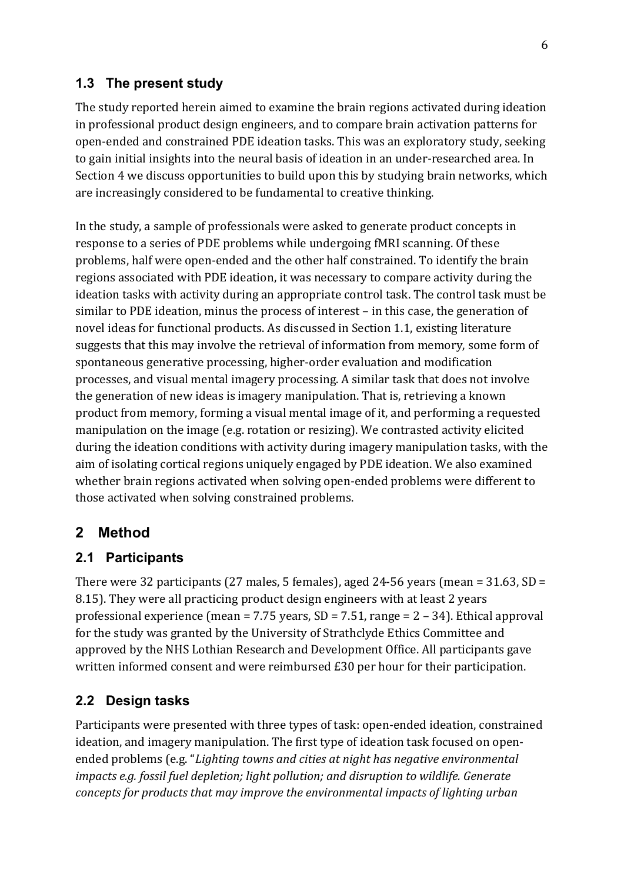#### **1.3 The present study**

The study reported herein aimed to examine the brain regions activated during ideation in professional product design engineers, and to compare brain activation patterns for open-ended and constrained PDE ideation tasks. This was an exploratory study, seeking to gain initial insights into the neural basis of ideation in an under-researched area. In Section [4](#page-12-0) we discuss opportunities to build upon this by studying brain networks, which are increasingly considered to be fundamental to creative thinking.

In the study, a sample of professionals were asked to generate product concepts in response to a series of PDE problems while undergoing fMRI scanning. Of these problems, half were open-ended and the other half constrained. To identify the brain regions associated with PDE ideation, it was necessary to compare activity during the ideation tasks with activity during an appropriate control task. The control task must be similar to PDE ideation, minus the process of interest – in this case, the generation of novel ideas for functional products. As discussed in Section [1.1,](#page-2-0) existing literature suggests that this may involve the retrieval of information from memory, some form of spontaneous generative processing, higher-order evaluation and modification processes, and visual mental imagery processing. A similar task that does not involve the generation of new ideas is imagery manipulation. That is, retrieving a known product from memory, forming a visual mental image of it, and performing a requested manipulation on the image (e.g. rotation or resizing). We contrasted activity elicited during the ideation conditions with activity during imagery manipulation tasks, with the aim of isolating cortical regions uniquely engaged by PDE ideation. We also examined whether brain regions activated when solving open-ended problems were different to those activated when solving constrained problems.

## **2 Method**

## **2.1 Participants**

There were 32 participants (27 males, 5 females), aged 24-56 years (mean  $= 31.63$ , SD  $=$ 8.15). They were all practicing product design engineers with at least 2 years professional experience (mean = 7.75 years, SD = 7.51, range = 2 – 34). Ethical approval for the study was granted by the University of Strathclyde Ethics Committee and approved by the NHS Lothian Research and Development Office. All participants gave written informed consent and were reimbursed £30 per hour for their participation.

# <span id="page-5-0"></span>**2.2 Design tasks**

Participants were presented with three types of task: open-ended ideation, constrained ideation, and imagery manipulation. The first type of ideation task focused on openended problems (e.g. "*Lighting towns and cities at night has negative environmental impacts e.g. fossil fuel depletion; light pollution; and disruption to wildlife. Generate concepts for products that may improve the environmental impacts of lighting urban*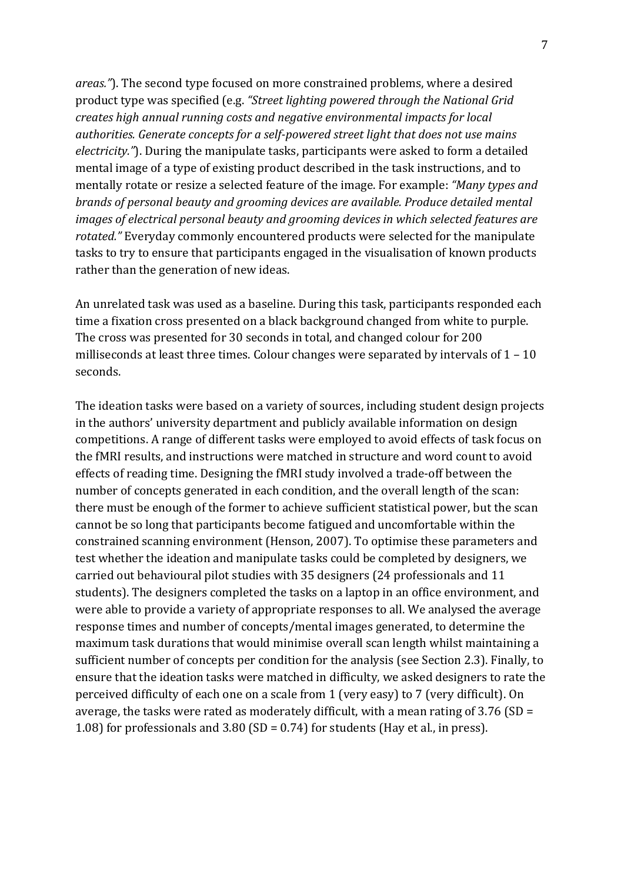*areas."*). The second type focused on more constrained problems, where a desired product type was specified (e.g. *"Street lighting powered through the National Grid creates high annual running costs and negative environmental impacts for local authorities. Generate concepts for a self-powered street light that does not use mains electricity."*). During the manipulate tasks, participants were asked to form a detailed mental image of a type of existing product described in the task instructions, and to mentally rotate or resize a selected feature of the image. For example: *"Many types and brands of personal beauty and grooming devices are available. Produce detailed mental images of electrical personal beauty and grooming devices in which selected features are rotated."* Everyday commonly encountered products were selected for the manipulate tasks to try to ensure that participants engaged in the visualisation of known products rather than the generation of new ideas.

An unrelated task was used as a baseline. During this task, participants responded each time a fixation cross presented on a black background changed from white to purple. The cross was presented for 30 seconds in total, and changed colour for 200 milliseconds at least three times. Colour changes were separated by intervals of 1 – 10 seconds.

The ideation tasks were based on a variety of sources, including student design projects in the authors' university department and publicly available information on design competitions. A range of different tasks were employed to avoid effects of task focus on the fMRI results, and instructions were matched in structure and word count to avoid effects of reading time. Designing the fMRI study involved a trade-off between the number of concepts generated in each condition, and the overall length of the scan: there must be enough of the former to achieve sufficient statistical power, but the scan cannot be so long that participants become fatigued and uncomfortable within the constrained scanning environment (Henson, 2007). To optimise these parameters and test whether the ideation and manipulate tasks could be completed by designers, we carried out behavioural pilot studies with 35 designers (24 professionals and 11 students). The designers completed the tasks on a laptop in an office environment, and were able to provide a variety of appropriate responses to all. We analysed the average response times and number of concepts/mental images generated, to determine the maximum task durations that would minimise overall scan length whilst maintaining a sufficient number of concepts per condition for the analysis (see Section [2.3\)](#page-7-0). Finally, to ensure that the ideation tasks were matched in difficulty, we asked designers to rate the perceived difficulty of each one on a scale from 1 (very easy) to 7 (very difficult). On average, the tasks were rated as moderately difficult, with a mean rating of 3.76 (SD = 1.08) for professionals and  $3.80$  (SD = 0.74) for students (Hay et al., in press).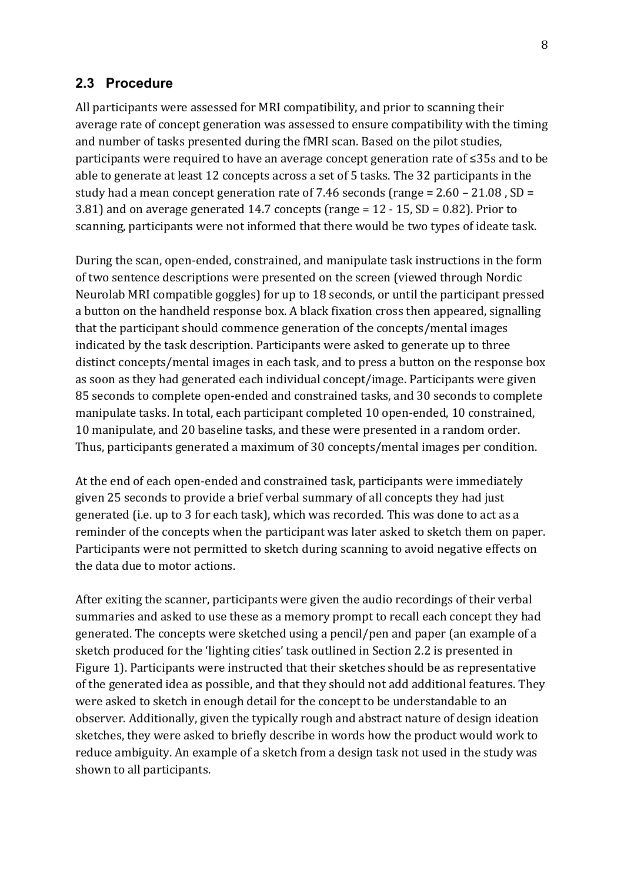#### <span id="page-7-0"></span>**2.3 Procedure**

All participants were assessed for MRI compatibility, and prior to scanning their average rate of concept generation was assessed to ensure compatibility with the timing and number of tasks presented during the fMRI scan. Based on the pilot studies, participants were required to have an average concept generation rate of ≤35s and to be able to generate at least 12 concepts across a set of 5 tasks. The 32 participants in the study had a mean concept generation rate of 7.46 seconds (range = 2.60 – 21.08 , SD = 3.81) and on average generated 14.7 concepts (range = 12 - 15, SD = 0.82). Prior to scanning, participants were not informed that there would be two types of ideate task.

During the scan, open-ended, constrained, and manipulate task instructions in the form of two sentence descriptions were presented on the screen (viewed through Nordic Neurolab MRI compatible goggles) for up to 18 seconds, or until the participant pressed a button on the handheld response box. A black fixation cross then appeared, signalling that the participant should commence generation of the concepts/mental images indicated by the task description. Participants were asked to generate up to three distinct concepts/mental images in each task, and to press a button on the response box as soon as they had generated each individual concept/image. Participants were given 85 seconds to complete open-ended and constrained tasks, and 30 seconds to complete manipulate tasks. In total, each participant completed 10 open-ended, 10 constrained, 10 manipulate, and 20 baseline tasks, and these were presented in a random order. Thus, participants generated a maximum of 30 concepts/mental images per condition.

At the end of each open-ended and constrained task, participants were immediately given 25 seconds to provide a brief verbal summary of all concepts they had just generated (i.e. up to 3 for each task), which was recorded. This was done to act as a reminder of the concepts when the participant was later asked to sketch them on paper. Participants were not permitted to sketch during scanning to avoid negative effects on the data due to motor actions.

After exiting the scanner, participants were given the audio recordings of their verbal summaries and asked to use these as a memory prompt to recall each concept they had generated. The concepts were sketched using a pencil/pen and paper (an example of a sketch produced for the 'lighting cities' task outlined in Section [2.2](#page-5-0) is presented in [Figure 1\)](#page-8-0). Participants were instructed that their sketches should be as representative of the generated idea as possible, and that they should not add additional features. They were asked to sketch in enough detail for the concept to be understandable to an observer. Additionally, given the typically rough and abstract nature of design ideation sketches, they were asked to briefly describe in words how the product would work to reduce ambiguity. An example of a sketch from a design task not used in the study was shown to all participants.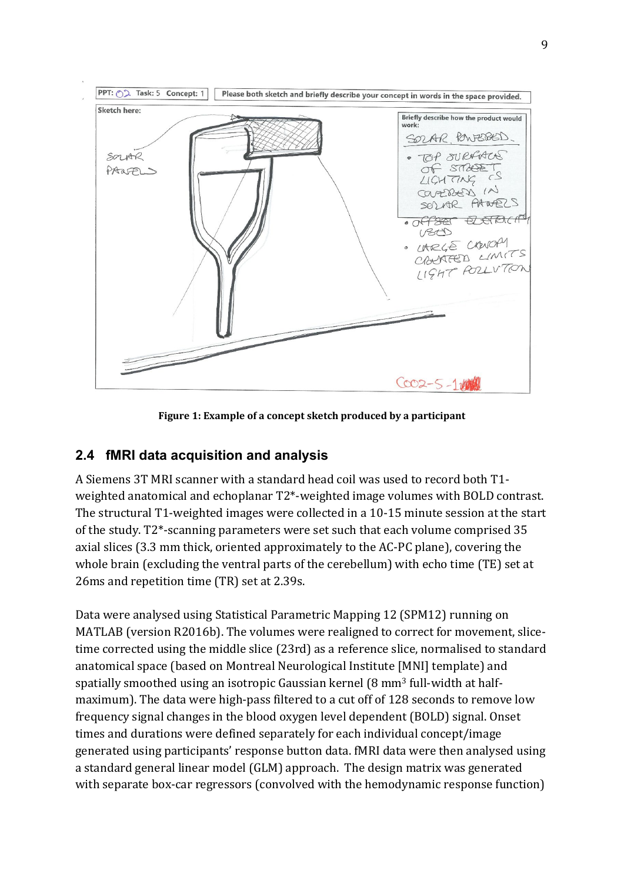

**Figure 1: Example of a concept sketch produced by a participant**

## <span id="page-8-0"></span>**2.4 fMRI data acquisition and analysis**

A Siemens 3T MRI scanner with a standard head coil was used to record both T1 weighted anatomical and echoplanar T2\*-weighted image volumes with BOLD contrast. The structural T1-weighted images were collected in a 10-15 minute session at the start of the study. T2\*-scanning parameters were set such that each volume comprised 35 axial slices (3.3 mm thick, oriented approximately to the AC-PC plane), covering the whole brain (excluding the ventral parts of the cerebellum) with echo time (TE) set at 26ms and repetition time (TR) set at 2.39s.

Data were analysed using Statistical Parametric Mapping 12 (SPM12) running on MATLAB (version R2016b). The volumes were realigned to correct for movement, slicetime corrected using the middle slice (23rd) as a reference slice, normalised to standard anatomical space (based on Montreal Neurological Institute [MNI] template) and spatially smoothed using an isotropic Gaussian kernel (8 mm3 full-width at halfmaximum). The data were high-pass filtered to a cut off of 128 seconds to remove low frequency signal changes in the blood oxygen level dependent (BOLD) signal. Onset times and durations were defined separately for each individual concept/image generated using participants' response button data. fMRI data were then analysed using a standard general linear model (GLM) approach. The design matrix was generated with separate box-car regressors (convolved with the hemodynamic response function)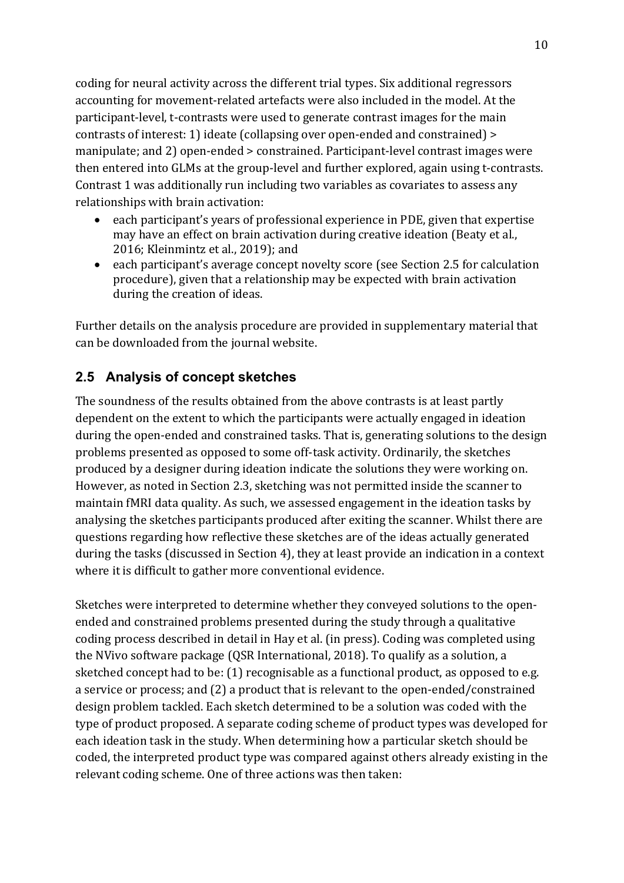coding for neural activity across the different trial types. Six additional regressors accounting for movement-related artefacts were also included in the model. At the participant-level, t-contrasts were used to generate contrast images for the main contrasts of interest: 1) ideate (collapsing over open-ended and constrained) > manipulate; and 2) open-ended > constrained. Participant-level contrast images were then entered into GLMs at the group-level and further explored, again using t-contrasts. Contrast 1 was additionally run including two variables as covariates to assess any relationships with brain activation:

- each participant's years of professional experience in PDE, given that expertise may have an effect on brain activation during creative ideation (Beaty et al., 2016; Kleinmintz et al., 2019); and
- each participant's average concept novelty score (see Section 2.5 for calculation procedure), given that a relationship may be expected with brain activation during the creation of ideas.

Further details on the analysis procedure are provided in supplementary material that can be downloaded from the journal website.

## <span id="page-9-0"></span>**2.5 Analysis of concept sketches**

The soundness of the results obtained from the above contrasts is at least partly dependent on the extent to which the participants were actually engaged in ideation during the open-ended and constrained tasks. That is, generating solutions to the design problems presented as opposed to some off-task activity. Ordinarily, the sketches produced by a designer during ideation indicate the solutions they were working on. However, as noted in Section [2.3,](#page-7-0) sketching was not permitted inside the scanner to maintain fMRI data quality. As such, we assessed engagement in the ideation tasks by analysing the sketches participants produced after exiting the scanner. Whilst there are questions regarding how reflective these sketches are of the ideas actually generated during the tasks (discussed in Section [4\)](#page-12-0), they at least provide an indication in a context where it is difficult to gather more conventional evidence.

Sketches were interpreted to determine whether they conveyed solutions to the openended and constrained problems presented during the study through a qualitative coding process described in detail in Hay et al. (in press). Coding was completed using the NVivo software package (QSR International, 2018). To qualify as a solution, a sketched concept had to be: (1) recognisable as a functional product, as opposed to e.g. a service or process; and (2) a product that is relevant to the open-ended/constrained design problem tackled. Each sketch determined to be a solution was coded with the type of product proposed. A separate coding scheme of product types was developed for each ideation task in the study. When determining how a particular sketch should be coded, the interpreted product type was compared against others already existing in the relevant coding scheme. One of three actions was then taken: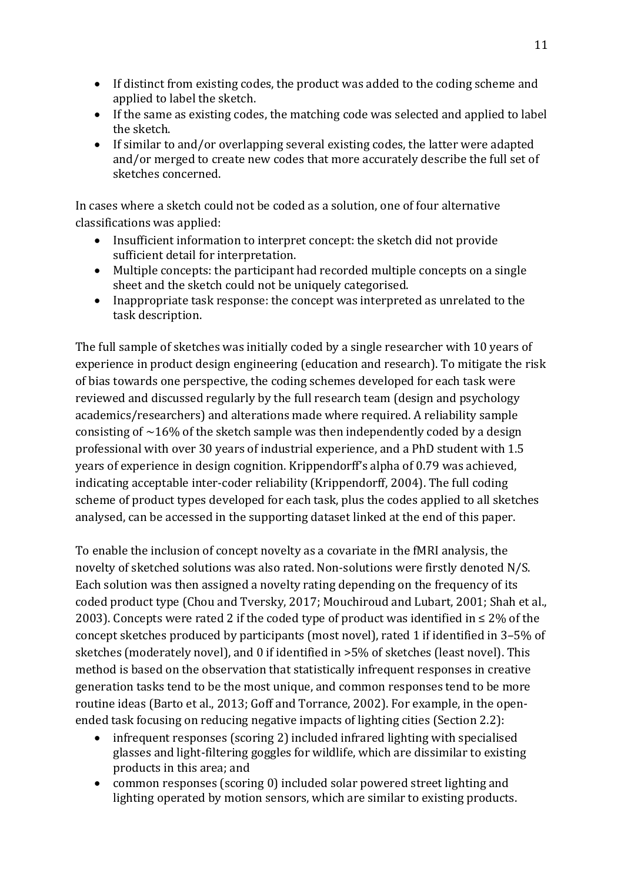- If distinct from existing codes, the product was added to the coding scheme and applied to label the sketch.
- If the same as existing codes, the matching code was selected and applied to label the sketch.
- If similar to and/or overlapping several existing codes, the latter were adapted and/or merged to create new codes that more accurately describe the full set of sketches concerned.

In cases where a sketch could not be coded as a solution, one of four alternative classifications was applied:

- Insufficient information to interpret concept: the sketch did not provide sufficient detail for interpretation.
- Multiple concepts: the participant had recorded multiple concepts on a single sheet and the sketch could not be uniquely categorised.
- Inappropriate task response: the concept was interpreted as unrelated to the task description.

The full sample of sketches was initially coded by a single researcher with 10 years of experience in product design engineering (education and research). To mitigate the risk of bias towards one perspective, the coding schemes developed for each task were reviewed and discussed regularly by the full research team (design and psychology academics/researchers) and alterations made where required. A reliability sample consisting of  $\sim$ 16% of the sketch sample was then independently coded by a design professional with over 30 years of industrial experience, and a PhD student with 1.5 years of experience in design cognition. Krippendorff's alpha of 0.79 was achieved, indicating acceptable inter-coder reliability (Krippendorff, 2004). The full coding scheme of product types developed for each task, plus the codes applied to all sketches analysed, can be accessed in the supporting dataset linked at the end of this paper.

To enable the inclusion of concept novelty as a covariate in the fMRI analysis, the novelty of sketched solutions was also rated. Non-solutions were firstly denoted N/S. Each solution was then assigned a novelty rating depending on the frequency of its coded product type (Chou and Tversky, 2017; Mouchiroud and Lubart, 2001; Shah et al., 2003). Concepts were rated 2 if the coded type of product was identified in  $\leq 2\%$  of the concept sketches produced by participants (most novel), rated 1 if identified in 3–5% of sketches (moderately novel), and 0 if identified in >5% of sketches (least novel). This method is based on the observation that statistically infrequent responses in creative generation tasks tend to be the most unique, and common responses tend to be more routine ideas (Barto et al., 2013; Goff and Torrance, 2002). For example, in the openended task focusing on reducing negative impacts of lighting cities (Section 2.2):

- infrequent responses (scoring 2) included infrared lighting with specialised glasses and light-filtering goggles for wildlife, which are dissimilar to existing products in this area; and
- common responses (scoring 0) included solar powered street lighting and lighting operated by motion sensors, which are similar to existing products.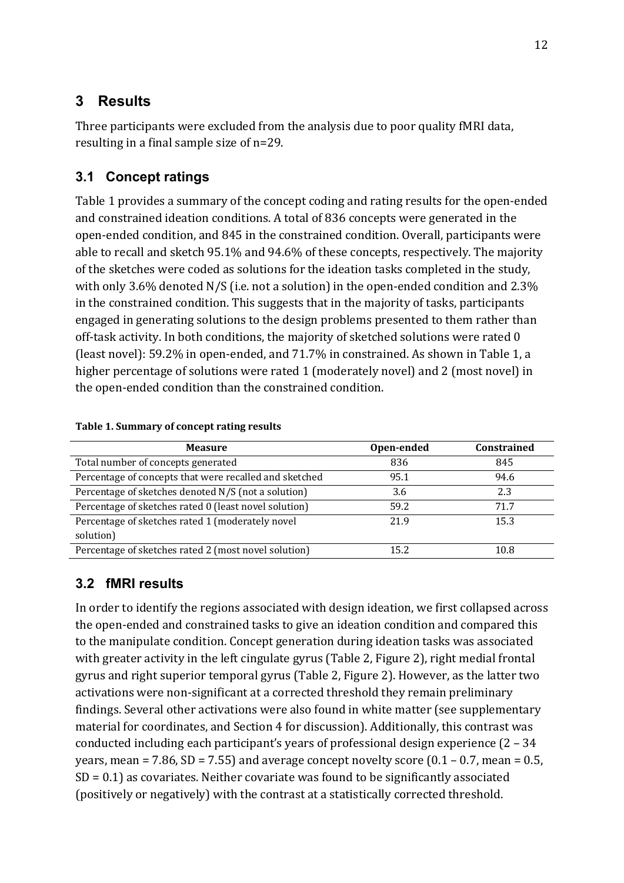# **3 Results**

Three participants were excluded from the analysis due to poor quality fMRI data, resulting in a final sample size of n=29.

# **3.1 Concept ratings**

[Table 1](#page-11-0) provides a summary of the concept coding and rating results for the open-ended and constrained ideation conditions. A total of 836 concepts were generated in the open-ended condition, and 845 in the constrained condition. Overall, participants were able to recall and sketch 95.1% and 94.6% of these concepts, respectively. The majority of the sketches were coded as solutions for the ideation tasks completed in the study, with only 3.6% denoted N/S (i.e. not a solution) in the open-ended condition and 2.3% in the constrained condition. This suggests that in the majority of tasks, participants engaged in generating solutions to the design problems presented to them rather than off-task activity. In both conditions, the majority of sketched solutions were rated 0 (least novel): 59.2% in open-ended, and 71.7% in constrained. As shown in [Table 1,](#page-11-0) a higher percentage of solutions were rated 1 (moderately novel) and 2 (most novel) in the open-ended condition than the constrained condition.

| <b>Measure</b>                                         | Open-ended | <b>Constrained</b> |
|--------------------------------------------------------|------------|--------------------|
| Total number of concepts generated                     | 836        | 845                |
| Percentage of concepts that were recalled and sketched | 95.1       | 94.6               |
| Percentage of sketches denoted N/S (not a solution)    | 3.6        | 2.3                |
| Percentage of sketches rated 0 (least novel solution)  | 59.2       | 71.7               |
| Percentage of sketches rated 1 (moderately novel       | 21.9       | 15.3               |
| solution)                                              |            |                    |
| Percentage of sketches rated 2 (most novel solution)   | 15.2       | 10.8               |

#### <span id="page-11-0"></span>**Table 1. Summary of concept rating results**

# <span id="page-11-1"></span>**3.2 fMRI results**

In order to identify the regions associated with design ideation, we first collapsed across the open-ended and constrained tasks to give an ideation condition and compared this to the manipulate condition. Concept generation during ideation tasks was associated with greater activity in the left cingulate gyrus [\(Table 2,](#page-12-1) [Figure 2\)](#page-12-2), right medial frontal gyrus and right superior temporal gyrus [\(Table 2,](#page-12-1) [Figure 2\)](#page-12-2). However, as the latter two activations were non-significant at a corrected threshold they remain preliminary findings. Several other activations were also found in white matter (see supplementary material for coordinates, and Section [4](#page-12-0) for discussion). Additionally, this contrast was conducted including each participant's years of professional design experience (2 – 34 years, mean = 7.86, SD = 7.55) and average concept novelty score  $(0.1 - 0.7)$ , mean = 0.5, SD = 0.1) as covariates. Neither covariate was found to be significantly associated (positively or negatively) with the contrast at a statistically corrected threshold.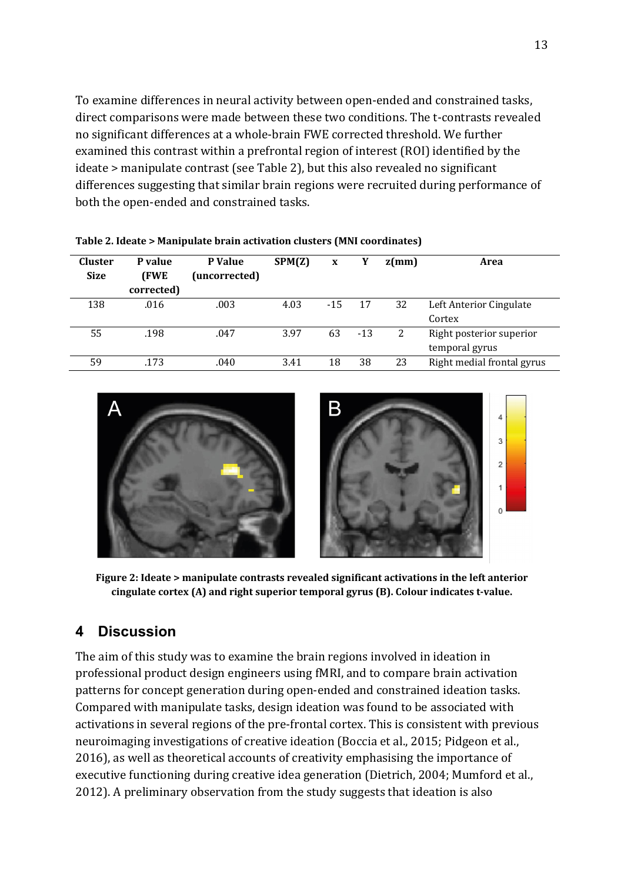To examine differences in neural activity between open-ended and constrained tasks, direct comparisons were made between these two conditions. The t-contrasts revealed no significant differences at a whole-brain FWE corrected threshold. We further examined this contrast within a prefrontal region of interest (ROI) identified by the ideate > manipulate contrast (see [Table 2\)](#page-12-1), but this also revealed no significant differences suggesting that similar brain regions were recruited during performance of both the open-ended and constrained tasks.

| <b>Cluster</b><br><b>Size</b> | P value<br><b>(FWE</b><br>corrected) | P Value<br>(uncorrected) | SPM(Z) | X     | Y     | z(mm) | Area                                       |
|-------------------------------|--------------------------------------|--------------------------|--------|-------|-------|-------|--------------------------------------------|
| 138                           | .016                                 | .003                     | 4.03   | $-15$ | -17   | 32    | Left Anterior Cingulate<br>Cortex          |
| 55                            | .198                                 | .047                     | 3.97   | 63    | $-13$ | 2     | Right posterior superior<br>temporal gyrus |
| 59                            | .173                                 | .040                     | 3.41   | 18    | 38    | 23    | Right medial frontal gyrus                 |

<span id="page-12-1"></span>**Table 2. Ideate > Manipulate brain activation clusters (MNI coordinates)**



**Figure 2: Ideate > manipulate contrasts revealed significant activations in the left anterior cingulate cortex (A) and right superior temporal gyrus (B). Colour indicates t-value.**

## <span id="page-12-2"></span><span id="page-12-0"></span>**4 Discussion**

The aim of this study was to examine the brain regions involved in ideation in professional product design engineers using fMRI, and to compare brain activation patterns for concept generation during open-ended and constrained ideation tasks. Compared with manipulate tasks, design ideation was found to be associated with activations in several regions of the pre-frontal cortex. This is consistent with previous neuroimaging investigations of creative ideation (Boccia et al., 2015; Pidgeon et al., 2016), as well as theoretical accounts of creativity emphasising the importance of executive functioning during creative idea generation (Dietrich, 2004; Mumford et al., 2012). A preliminary observation from the study suggests that ideation is also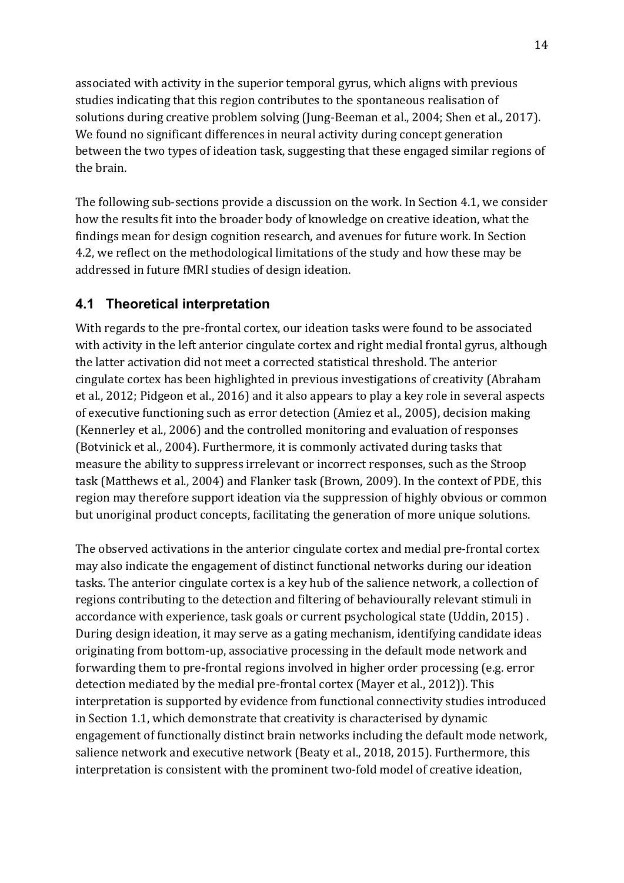associated with activity in the superior temporal gyrus, which aligns with previous studies indicating that this region contributes to the spontaneous realisation of solutions during creative problem solving (Jung-Beeman et al., 2004; Shen et al., 2017). We found no significant differences in neural activity during concept generation between the two types of ideation task, suggesting that these engaged similar regions of the brain.

The following sub-sections provide a discussion on the work. In Sectio[n 4.1,](#page-13-0) we consider how the results fit into the broader body of knowledge on creative ideation, what the findings mean for design cognition research, and avenues for future work. In Section [4.2,](#page-16-0) we reflect on the methodological limitations of the study and how these may be addressed in future fMRI studies of design ideation.

#### <span id="page-13-0"></span>**4.1 Theoretical interpretation**

With regards to the pre-frontal cortex, our ideation tasks were found to be associated with activity in the left anterior cingulate cortex and right medial frontal gyrus, although the latter activation did not meet a corrected statistical threshold. The anterior cingulate cortex has been highlighted in previous investigations of creativity (Abraham et al., 2012; Pidgeon et al., 2016) and it also appears to play a key role in several aspects of executive functioning such as error detection (Amiez et al., 2005), decision making (Kennerley et al., 2006) and the controlled monitoring and evaluation of responses (Botvinick et al., 2004). Furthermore, it is commonly activated during tasks that measure the ability to suppress irrelevant or incorrect responses, such as the Stroop task (Matthews et al., 2004) and Flanker task (Brown, 2009). In the context of PDE, this region may therefore support ideation via the suppression of highly obvious or common but unoriginal product concepts, facilitating the generation of more unique solutions.

The observed activations in the anterior cingulate cortex and medial pre-frontal cortex may also indicate the engagement of distinct functional networks during our ideation tasks. The anterior cingulate cortex is a key hub of the salience network, a collection of regions contributing to the detection and filtering of behaviourally relevant stimuli in accordance with experience, task goals or current psychological state (Uddin, 2015) . During design ideation, it may serve as a gating mechanism, identifying candidate ideas originating from bottom-up, associative processing in the default mode network and forwarding them to pre-frontal regions involved in higher order processing (e.g. error detection mediated by the medial pre-frontal cortex (Mayer et al., 2012)). This interpretation is supported by evidence from functional connectivity studies introduced in Section [1.1,](#page-2-0) which demonstrate that creativity is characterised by dynamic engagement of functionally distinct brain networks including the default mode network, salience network and executive network (Beaty et al., 2018, 2015). Furthermore, this interpretation is consistent with the prominent two-fold model of creative ideation,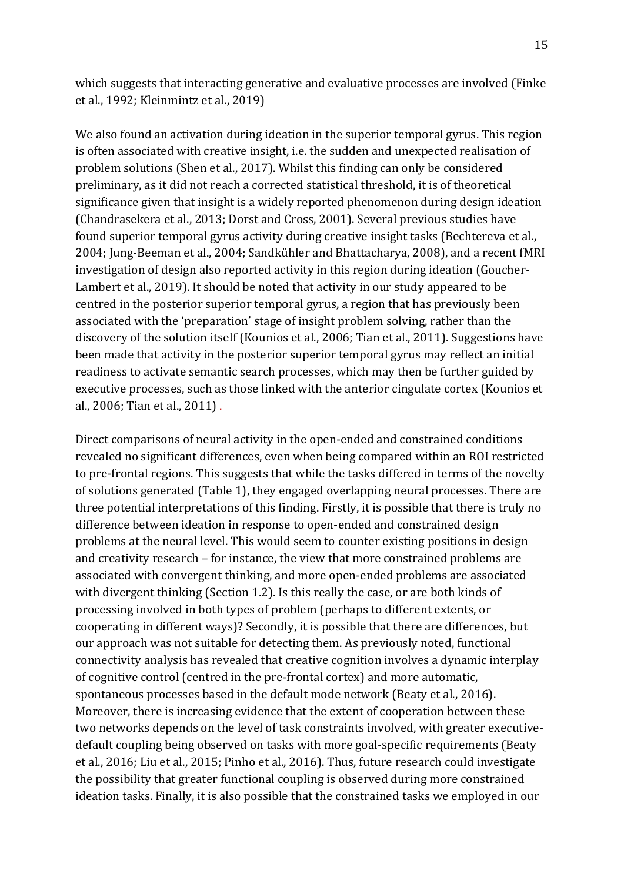which suggests that interacting generative and evaluative processes are involved (Finke et al., 1992; Kleinmintz et al., 2019)

We also found an activation during ideation in the superior temporal gyrus. This region is often associated with creative insight, i.e. the sudden and unexpected realisation of problem solutions (Shen et al., 2017). Whilst this finding can only be considered preliminary, as it did not reach a corrected statistical threshold, it is of theoretical significance given that insight is a widely reported phenomenon during design ideation (Chandrasekera et al., 2013; Dorst and Cross, 2001). Several previous studies have found superior temporal gyrus activity during creative insight tasks (Bechtereva et al., 2004; Jung-Beeman et al., 2004; Sandkühler and Bhattacharya, 2008), and a recent fMRI investigation of design also reported activity in this region during ideation (Goucher-Lambert et al., 2019). It should be noted that activity in our study appeared to be centred in the posterior superior temporal gyrus, a region that has previously been associated with the 'preparation' stage of insight problem solving, rather than the discovery of the solution itself (Kounios et al., 2006; Tian et al., 2011). Suggestions have been made that activity in the posterior superior temporal gyrus may reflect an initial readiness to activate semantic search processes, which may then be further guided by executive processes, such as those linked with the anterior cingulate cortex (Kounios et al., 2006; Tian et al., 2011) .

Direct comparisons of neural activity in the open-ended and constrained conditions revealed no significant differences, even when being compared within an ROI restricted to pre-frontal regions. This suggests that while the tasks differed in terms of the novelty of solutions generated [\(Table 1\)](#page-11-0), they engaged overlapping neural processes. There are three potential interpretations of this finding. Firstly, it is possible that there is truly no difference between ideation in response to open-ended and constrained design problems at the neural level. This would seem to counter existing positions in design and creativity research – for instance, the view that more constrained problems are associated with convergent thinking, and more open-ended problems are associated with divergent thinking (Section 1.2). Is this really the case, or are both kinds of processing involved in both types of problem (perhaps to different extents, or cooperating in different ways)? Secondly, it is possible that there are differences, but our approach was not suitable for detecting them. As previously noted, functional connectivity analysis has revealed that creative cognition involves a dynamic interplay of cognitive control (centred in the pre-frontal cortex) and more automatic, spontaneous processes based in the default mode network (Beaty et al., 2016). Moreover, there is increasing evidence that the extent of cooperation between these two networks depends on the level of task constraints involved, with greater executivedefault coupling being observed on tasks with more goal-specific requirements (Beaty et al., 2016; Liu et al., 2015; Pinho et al., 2016). Thus, future research could investigate the possibility that greater functional coupling is observed during more constrained ideation tasks. Finally, it is also possible that the constrained tasks we employed in our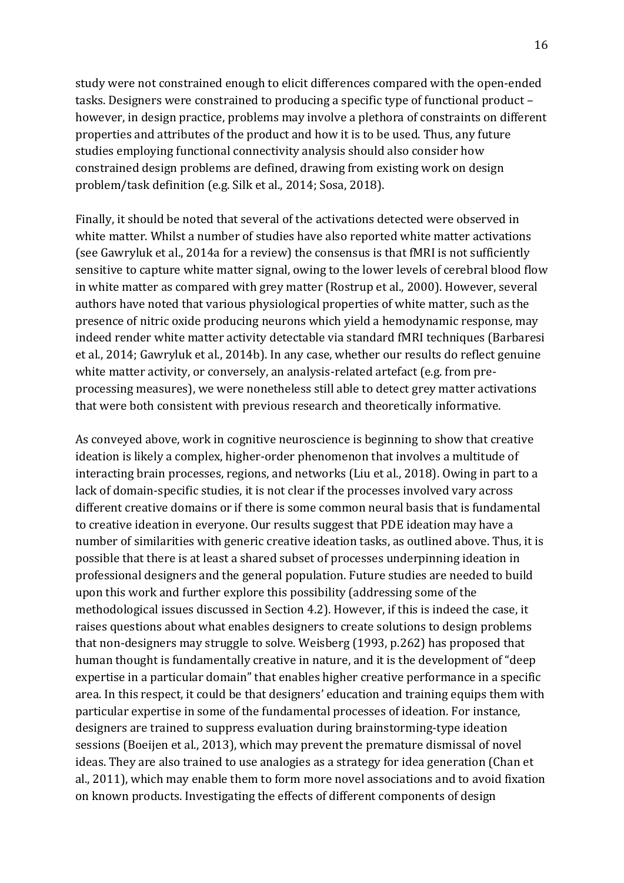study were not constrained enough to elicit differences compared with the open-ended tasks. Designers were constrained to producing a specific type of functional product – however, in design practice, problems may involve a plethora of constraints on different properties and attributes of the product and how it is to be used. Thus, any future studies employing functional connectivity analysis should also consider how constrained design problems are defined, drawing from existing work on design problem/task definition (e.g. Silk et al., 2014; Sosa, 2018).

Finally, it should be noted that several of the activations detected were observed in white matter. Whilst a number of studies have also reported white matter activations (see Gawryluk et al., 2014a for a review) the consensus is that fMRI is not sufficiently sensitive to capture white matter signal, owing to the lower levels of cerebral blood flow in white matter as compared with grey matter (Rostrup et al., 2000). However, several authors have noted that various physiological properties of white matter, such as the presence of nitric oxide producing neurons which yield a hemodynamic response, may indeed render white matter activity detectable via standard fMRI techniques (Barbaresi et al., 2014; Gawryluk et al., 2014b). In any case, whether our results do reflect genuine white matter activity, or conversely, an analysis-related artefact (e.g. from preprocessing measures), we were nonetheless still able to detect grey matter activations that were both consistent with previous research and theoretically informative.

As conveyed above, work in cognitive neuroscience is beginning to show that creative ideation is likely a complex, higher-order phenomenon that involves a multitude of interacting brain processes, regions, and networks (Liu et al., 2018). Owing in part to a lack of domain-specific studies, it is not clear if the processes involved vary across different creative domains or if there is some common neural basis that is fundamental to creative ideation in everyone. Our results suggest that PDE ideation may have a number of similarities with generic creative ideation tasks, as outlined above. Thus, it is possible that there is at least a shared subset of processes underpinning ideation in professional designers and the general population. Future studies are needed to build upon this work and further explore this possibility (addressing some of the methodological issues discussed in Section [4.2\)](#page-16-0). However, if this is indeed the case, it raises questions about what enables designers to create solutions to design problems that non-designers may struggle to solve. Weisberg (1993, p.262) has proposed that human thought is fundamentally creative in nature, and it is the development of "deep expertise in a particular domain" that enables higher creative performance in a specific area. In this respect, it could be that designers' education and training equips them with particular expertise in some of the fundamental processes of ideation. For instance, designers are trained to suppress evaluation during brainstorming-type ideation sessions (Boeijen et al., 2013), which may prevent the premature dismissal of novel ideas. They are also trained to use analogies as a strategy for idea generation (Chan et al., 2011), which may enable them to form more novel associations and to avoid fixation on known products. Investigating the effects of different components of design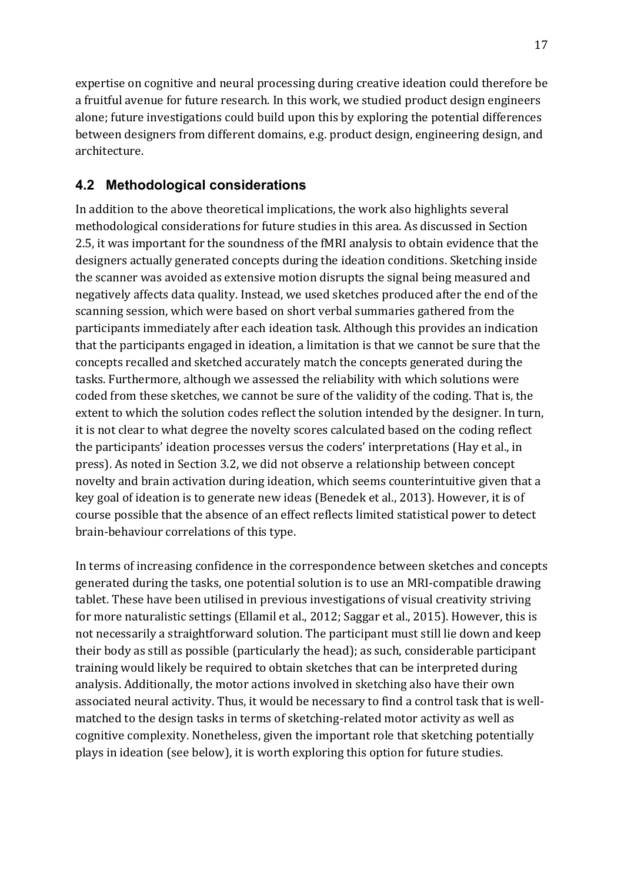expertise on cognitive and neural processing during creative ideation could therefore be a fruitful avenue for future research. In this work, we studied product design engineers alone; future investigations could build upon this by exploring the potential differences between designers from different domains, e.g. product design, engineering design, and architecture.

#### <span id="page-16-0"></span>**4.2 Methodological considerations**

In addition to the above theoretical implications, the work also highlights several methodological considerations for future studies in this area. As discussed in Section [2.5,](#page-9-0) it was important for the soundness of the fMRI analysis to obtain evidence that the designers actually generated concepts during the ideation conditions. Sketching inside the scanner was avoided as extensive motion disrupts the signal being measured and negatively affects data quality. Instead, we used sketches produced after the end of the scanning session, which were based on short verbal summaries gathered from the participants immediately after each ideation task. Although this provides an indication that the participants engaged in ideation, a limitation is that we cannot be sure that the concepts recalled and sketched accurately match the concepts generated during the tasks. Furthermore, although we assessed the reliability with which solutions were coded from these sketches, we cannot be sure of the validity of the coding. That is, the extent to which the solution codes reflect the solution intended by the designer. In turn, it is not clear to what degree the novelty scores calculated based on the coding reflect the participants' ideation processes versus the coders' interpretations (Hay et al., in press). As noted in Section [3.2,](#page-11-1) we did not observe a relationship between concept novelty and brain activation during ideation, which seems counterintuitive given that a key goal of ideation is to generate new ideas (Benedek et al., 2013). However, it is of course possible that the absence of an effect reflects limited statistical power to detect brain-behaviour correlations of this type.

In terms of increasing confidence in the correspondence between sketches and concepts generated during the tasks, one potential solution is to use an MRI-compatible drawing tablet. These have been utilised in previous investigations of visual creativity striving for more naturalistic settings (Ellamil et al., 2012; Saggar et al., 2015). However, this is not necessarily a straightforward solution. The participant must still lie down and keep their body as still as possible (particularly the head); as such, considerable participant training would likely be required to obtain sketches that can be interpreted during analysis. Additionally, the motor actions involved in sketching also have their own associated neural activity. Thus, it would be necessary to find a control task that is wellmatched to the design tasks in terms of sketching-related motor activity as well as cognitive complexity. Nonetheless, given the important role that sketching potentially plays in ideation (see below), it is worth exploring this option for future studies.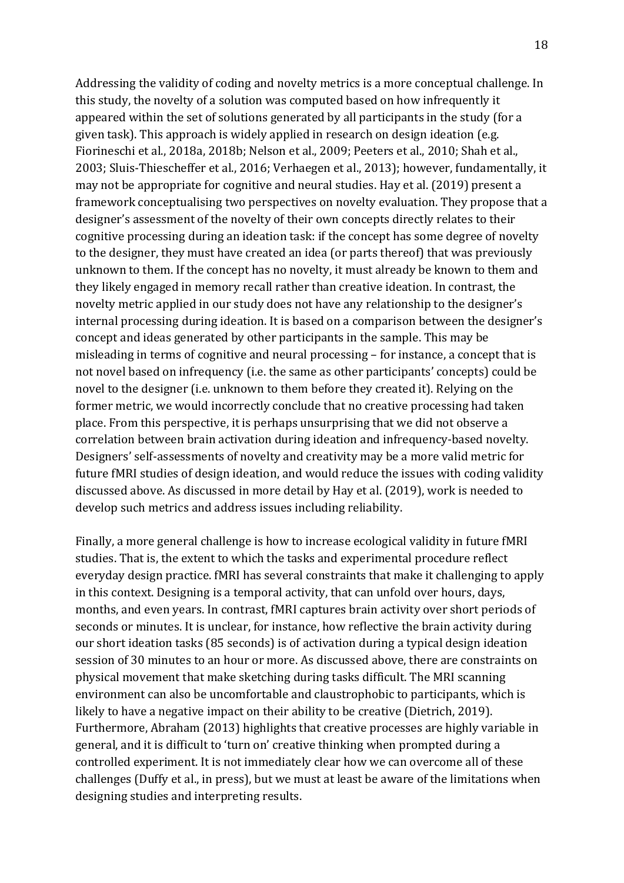Addressing the validity of coding and novelty metrics is a more conceptual challenge. In this study, the novelty of a solution was computed based on how infrequently it appeared within the set of solutions generated by all participants in the study (for a given task). This approach is widely applied in research on design ideation (e.g. Fiorineschi et al., 2018a, 2018b; Nelson et al., 2009; Peeters et al., 2010; Shah et al., 2003; Sluis-Thiescheffer et al., 2016; Verhaegen et al., 2013); however, fundamentally, it may not be appropriate for cognitive and neural studies. Hay et al. (2019) present a framework conceptualising two perspectives on novelty evaluation. They propose that a designer's assessment of the novelty of their own concepts directly relates to their cognitive processing during an ideation task: if the concept has some degree of novelty to the designer, they must have created an idea (or parts thereof) that was previously unknown to them. If the concept has no novelty, it must already be known to them and they likely engaged in memory recall rather than creative ideation. In contrast, the novelty metric applied in our study does not have any relationship to the designer's internal processing during ideation. It is based on a comparison between the designer's concept and ideas generated by other participants in the sample. This may be misleading in terms of cognitive and neural processing – for instance, a concept that is not novel based on infrequency (i.e. the same as other participants' concepts) could be novel to the designer (i.e. unknown to them before they created it). Relying on the former metric, we would incorrectly conclude that no creative processing had taken place. From this perspective, it is perhaps unsurprising that we did not observe a correlation between brain activation during ideation and infrequency-based novelty. Designers' self-assessments of novelty and creativity may be a more valid metric for future fMRI studies of design ideation, and would reduce the issues with coding validity discussed above. As discussed in more detail by Hay et al. (2019), work is needed to develop such metrics and address issues including reliability.

Finally, a more general challenge is how to increase ecological validity in future fMRI studies. That is, the extent to which the tasks and experimental procedure reflect everyday design practice. fMRI has several constraints that make it challenging to apply in this context. Designing is a temporal activity, that can unfold over hours, days, months, and even years. In contrast, fMRI captures brain activity over short periods of seconds or minutes. It is unclear, for instance, how reflective the brain activity during our short ideation tasks (85 seconds) is of activation during a typical design ideation session of 30 minutes to an hour or more. As discussed above, there are constraints on physical movement that make sketching during tasks difficult. The MRI scanning environment can also be uncomfortable and claustrophobic to participants, which is likely to have a negative impact on their ability to be creative (Dietrich, 2019). Furthermore, Abraham (2013) highlights that creative processes are highly variable in general, and it is difficult to 'turn on' creative thinking when prompted during a controlled experiment. It is not immediately clear how we can overcome all of these challenges (Duffy et al., in press), but we must at least be aware of the limitations when designing studies and interpreting results.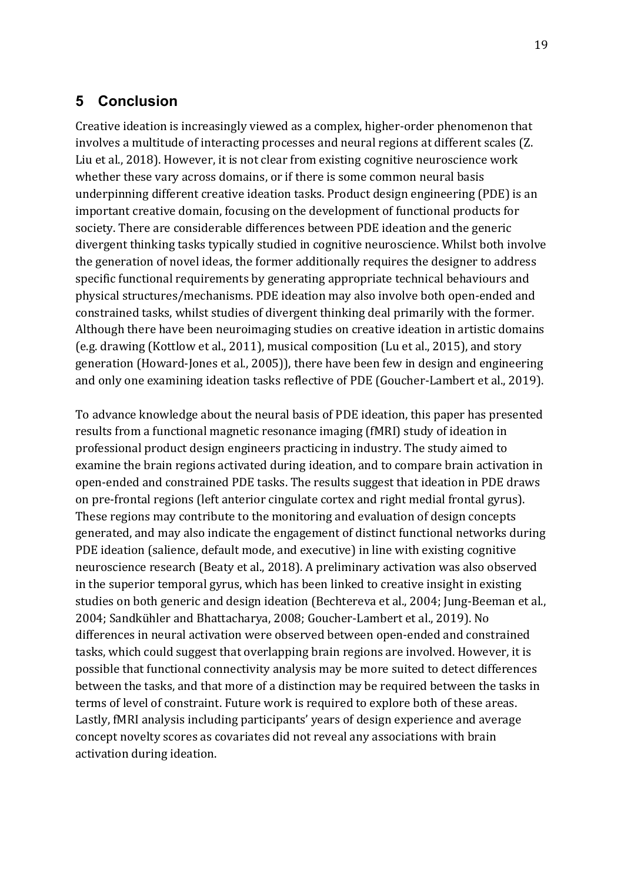#### **5 Conclusion**

Creative ideation is increasingly viewed as a complex, higher-order phenomenon that involves a multitude of interacting processes and neural regions at different scales (Z. Liu et al., 2018). However, it is not clear from existing cognitive neuroscience work whether these vary across domains, or if there is some common neural basis underpinning different creative ideation tasks. Product design engineering (PDE) is an important creative domain, focusing on the development of functional products for society. There are considerable differences between PDE ideation and the generic divergent thinking tasks typically studied in cognitive neuroscience. Whilst both involve the generation of novel ideas, the former additionally requires the designer to address specific functional requirements by generating appropriate technical behaviours and physical structures/mechanisms. PDE ideation may also involve both open-ended and constrained tasks, whilst studies of divergent thinking deal primarily with the former. Although there have been neuroimaging studies on creative ideation in artistic domains (e.g. drawing (Kottlow et al., 2011), musical composition (Lu et al., 2015), and story generation (Howard-Jones et al., 2005)), there have been few in design and engineering and only one examining ideation tasks reflective of PDE (Goucher-Lambert et al., 2019).

To advance knowledge about the neural basis of PDE ideation, this paper has presented results from a functional magnetic resonance imaging (fMRI) study of ideation in professional product design engineers practicing in industry. The study aimed to examine the brain regions activated during ideation, and to compare brain activation in open-ended and constrained PDE tasks. The results suggest that ideation in PDE draws on pre-frontal regions (left anterior cingulate cortex and right medial frontal gyrus). These regions may contribute to the monitoring and evaluation of design concepts generated, and may also indicate the engagement of distinct functional networks during PDE ideation (salience, default mode, and executive) in line with existing cognitive neuroscience research (Beaty et al., 2018). A preliminary activation was also observed in the superior temporal gyrus, which has been linked to creative insight in existing studies on both generic and design ideation (Bechtereva et al., 2004; Jung-Beeman et al., 2004; Sandkühler and Bhattacharya, 2008; Goucher-Lambert et al., 2019). No differences in neural activation were observed between open-ended and constrained tasks, which could suggest that overlapping brain regions are involved. However, it is possible that functional connectivity analysis may be more suited to detect differences between the tasks, and that more of a distinction may be required between the tasks in terms of level of constraint. Future work is required to explore both of these areas. Lastly, fMRI analysis including participants' years of design experience and average concept novelty scores as covariates did not reveal any associations with brain activation during ideation.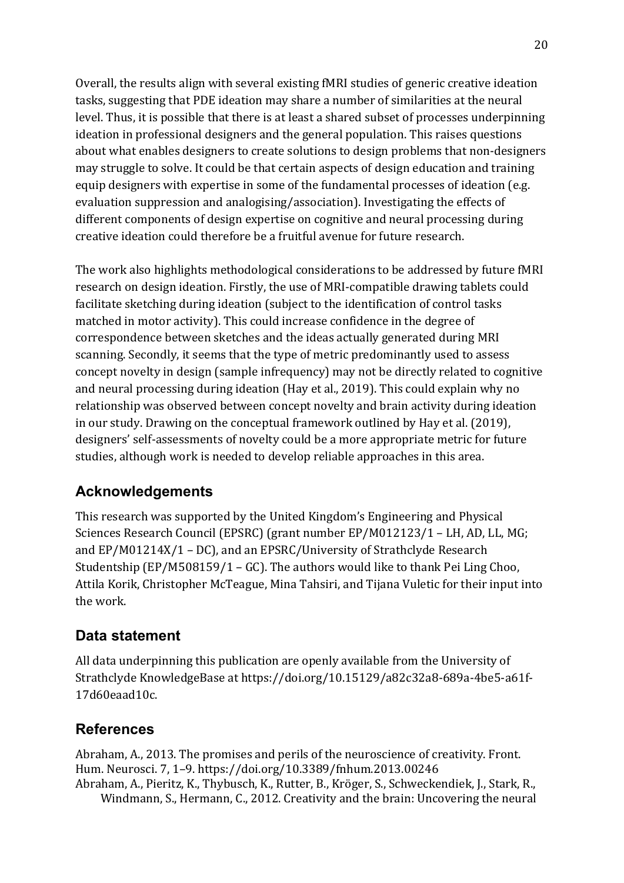Overall, the results align with several existing fMRI studies of generic creative ideation tasks, suggesting that PDE ideation may share a number of similarities at the neural level. Thus, it is possible that there is at least a shared subset of processes underpinning ideation in professional designers and the general population. This raises questions about what enables designers to create solutions to design problems that non-designers may struggle to solve. It could be that certain aspects of design education and training equip designers with expertise in some of the fundamental processes of ideation (e.g. evaluation suppression and analogising/association). Investigating the effects of different components of design expertise on cognitive and neural processing during creative ideation could therefore be a fruitful avenue for future research.

The work also highlights methodological considerations to be addressed by future fMRI research on design ideation. Firstly, the use of MRI-compatible drawing tablets could facilitate sketching during ideation (subject to the identification of control tasks matched in motor activity). This could increase confidence in the degree of correspondence between sketches and the ideas actually generated during MRI scanning. Secondly, it seems that the type of metric predominantly used to assess concept novelty in design (sample infrequency) may not be directly related to cognitive and neural processing during ideation (Hay et al., 2019). This could explain why no relationship was observed between concept novelty and brain activity during ideation in our study. Drawing on the conceptual framework outlined by Hay et al. (2019), designers' self-assessments of novelty could be a more appropriate metric for future studies, although work is needed to develop reliable approaches in this area.

## **Acknowledgements**

This research was supported by the United Kingdom's Engineering and Physical Sciences Research Council (EPSRC) (grant number EP/M012123/1 – LH, AD, LL, MG; and EP/M01214X/1 – DC), and an EPSRC/University of Strathclyde Research Studentship (EP/M508159/1 – GC). The authors would like to thank Pei Ling Choo, Attila Korik, Christopher McTeague, Mina Tahsiri, and Tijana Vuletic for their input into the work.

## **Data statement**

All data underpinning this publication are openly available from the University of Strathclyde KnowledgeBase at https://doi.org/10.15129/a82c32a8-689a-4be5-a61f-17d60eaad10c.

## **References**

Abraham, A., 2013. The promises and perils of the neuroscience of creativity. Front. Hum. Neurosci. 7, 1–9. https://doi.org/10.3389/fnhum.2013.00246 Abraham, A., Pieritz, K., Thybusch, K., Rutter, B., Kröger, S., Schweckendiek, J., Stark, R., Windmann, S., Hermann, C., 2012. Creativity and the brain: Uncovering the neural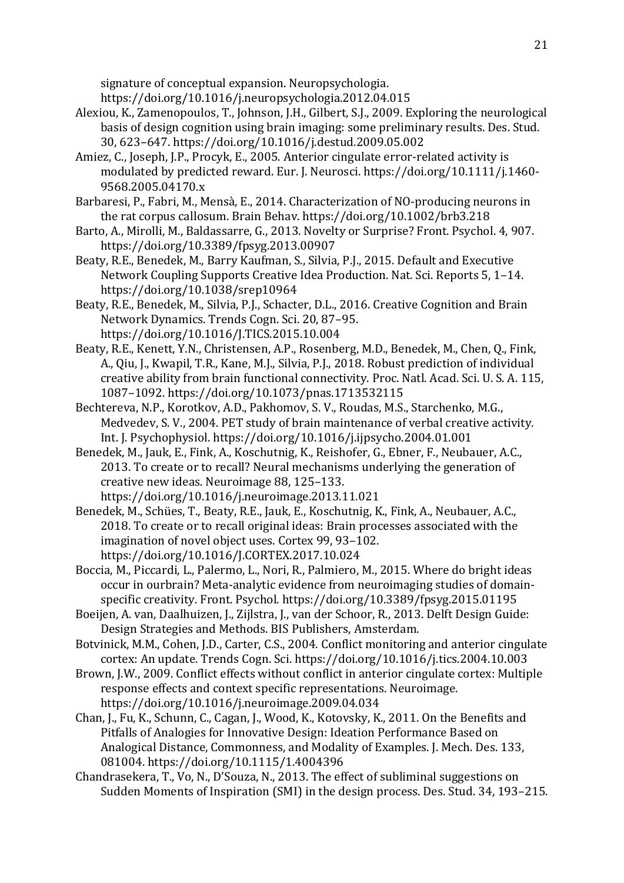signature of conceptual expansion. Neuropsychologia. https://doi.org/10.1016/j.neuropsychologia.2012.04.015

- Alexiou, K., Zamenopoulos, T., Johnson, J.H., Gilbert, S.J., 2009. Exploring the neurological basis of design cognition using brain imaging: some preliminary results. Des. Stud. 30, 623–647. https://doi.org/10.1016/j.destud.2009.05.002
- Amiez, C., Joseph, J.P., Procyk, E., 2005. Anterior cingulate error-related activity is modulated by predicted reward. Eur. J. Neurosci. https://doi.org/10.1111/j.1460- 9568.2005.04170.x
- Barbaresi, P., Fabri, M., Mensà, E., 2014. Characterization of NO-producing neurons in the rat corpus callosum. Brain Behav. https://doi.org/10.1002/brb3.218
- Barto, A., Mirolli, M., Baldassarre, G., 2013. Novelty or Surprise? Front. Psychol. 4, 907. https://doi.org/10.3389/fpsyg.2013.00907
- Beaty, R.E., Benedek, M., Barry Kaufman, S., Silvia, P.J., 2015. Default and Executive Network Coupling Supports Creative Idea Production. Nat. Sci. Reports 5, 1–14. https://doi.org/10.1038/srep10964
- Beaty, R.E., Benedek, M., Silvia, P.J., Schacter, D.L., 2016. Creative Cognition and Brain Network Dynamics. Trends Cogn. Sci. 20, 87–95. https://doi.org/10.1016/J.TICS.2015.10.004
- Beaty, R.E., Kenett, Y.N., Christensen, A.P., Rosenberg, M.D., Benedek, M., Chen, Q., Fink, A., Qiu, J., Kwapil, T.R., Kane, M.J., Silvia, P.J., 2018. Robust prediction of individual creative ability from brain functional connectivity. Proc. Natl. Acad. Sci. U. S. A. 115, 1087–1092. https://doi.org/10.1073/pnas.1713532115
- Bechtereva, N.P., Korotkov, A.D., Pakhomov, S. V., Roudas, M.S., Starchenko, M.G., Medvedev, S. V., 2004. PET study of brain maintenance of verbal creative activity. Int. J. Psychophysiol. https://doi.org/10.1016/j.ijpsycho.2004.01.001
- Benedek, M., Jauk, E., Fink, A., Koschutnig, K., Reishofer, G., Ebner, F., Neubauer, A.C., 2013. To create or to recall? Neural mechanisms underlying the generation of creative new ideas. Neuroimage 88, 125–133. https://doi.org/10.1016/j.neuroimage.2013.11.021
- Benedek, M., Schües, T., Beaty, R.E., Jauk, E., Koschutnig, K., Fink, A., Neubauer, A.C., 2018. To create or to recall original ideas: Brain processes associated with the imagination of novel object uses. Cortex 99, 93–102. https://doi.org/10.1016/J.CORTEX.2017.10.024
- Boccia, M., Piccardi, L., Palermo, L., Nori, R., Palmiero, M., 2015. Where do bright ideas occur in ourbrain? Meta-analytic evidence from neuroimaging studies of domainspecific creativity. Front. Psychol. https://doi.org/10.3389/fpsyg.2015.01195
- Boeijen, A. van, Daalhuizen, J., Zijlstra, J., van der Schoor, R., 2013. Delft Design Guide: Design Strategies and Methods. BIS Publishers, Amsterdam.
- Botvinick, M.M., Cohen, J.D., Carter, C.S., 2004. Conflict monitoring and anterior cingulate cortex: An update. Trends Cogn. Sci. https://doi.org/10.1016/j.tics.2004.10.003
- Brown, J.W., 2009. Conflict effects without conflict in anterior cingulate cortex: Multiple response effects and context specific representations. Neuroimage. https://doi.org/10.1016/j.neuroimage.2009.04.034
- Chan, J., Fu, K., Schunn, C., Cagan, J., Wood, K., Kotovsky, K., 2011. On the Benefits and Pitfalls of Analogies for Innovative Design: Ideation Performance Based on Analogical Distance, Commonness, and Modality of Examples. J. Mech. Des. 133, 081004. https://doi.org/10.1115/1.4004396
- Chandrasekera, T., Vo, N., D'Souza, N., 2013. The effect of subliminal suggestions on Sudden Moments of Inspiration (SMI) in the design process. Des. Stud. 34, 193–215.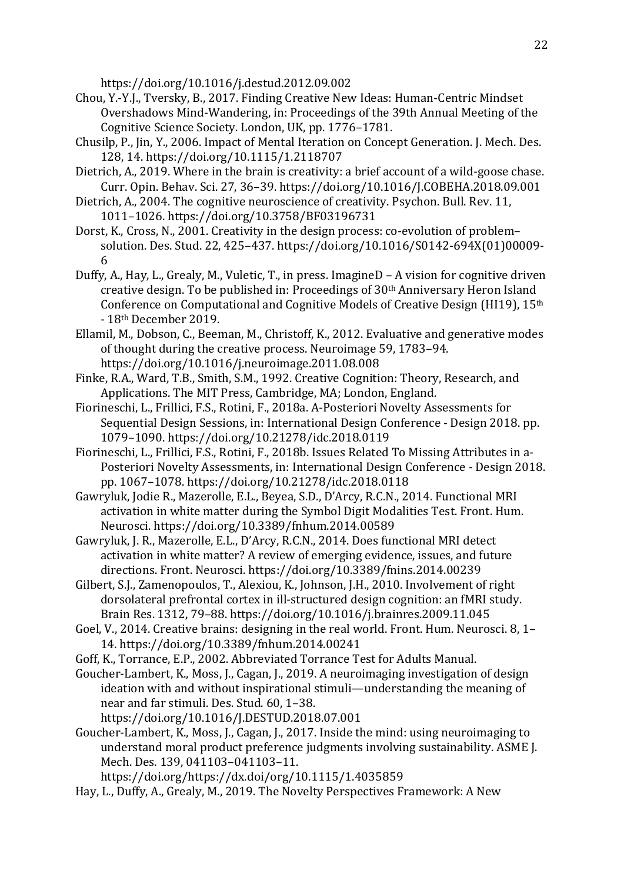https://doi.org/10.1016/j.destud.2012.09.002

- Chou, Y.-Y.J., Tversky, B., 2017. Finding Creative New Ideas: Human-Centric Mindset Overshadows Mind-Wandering, in: Proceedings of the 39th Annual Meeting of the Cognitive Science Society. London, UK, pp. 1776–1781.
- Chusilp, P., Jin, Y., 2006. Impact of Mental Iteration on Concept Generation. J. Mech. Des. 128, 14. https://doi.org/10.1115/1.2118707
- Dietrich, A., 2019. Where in the brain is creativity: a brief account of a wild-goose chase. Curr. Opin. Behav. Sci. 27, 36–39. https://doi.org/10.1016/J.COBEHA.2018.09.001
- Dietrich, A., 2004. The cognitive neuroscience of creativity. Psychon. Bull. Rev. 11, 1011–1026. https://doi.org/10.3758/BF03196731
- Dorst, K., Cross, N., 2001. Creativity in the design process: co-evolution of problem– solution. Des. Stud. 22, 425–437. https://doi.org/10.1016/S0142-694X(01)00009- 6
- Duffy, A., Hay, L., Grealy, M., Vuletic, T., in press. ImagineD A vision for cognitive driven creative design. To be published in: Proceedings of 30th Anniversary Heron Island Conference on Computational and Cognitive Models of Creative Design (HI19), 15th - 18th December 2019.
- Ellamil, M., Dobson, C., Beeman, M., Christoff, K., 2012. Evaluative and generative modes of thought during the creative process. Neuroimage 59, 1783–94. https://doi.org/10.1016/j.neuroimage.2011.08.008
- Finke, R.A., Ward, T.B., Smith, S.M., 1992. Creative Cognition: Theory, Research, and Applications. The MIT Press, Cambridge, MA; London, England.
- Fiorineschi, L., Frillici, F.S., Rotini, F., 2018a. A-Posteriori Novelty Assessments for Sequential Design Sessions, in: International Design Conference - Design 2018. pp. 1079–1090. https://doi.org/10.21278/idc.2018.0119
- Fiorineschi, L., Frillici, F.S., Rotini, F., 2018b. Issues Related To Missing Attributes in a-Posteriori Novelty Assessments, in: International Design Conference - Design 2018. pp. 1067–1078. https://doi.org/10.21278/idc.2018.0118
- Gawryluk, Jodie R., Mazerolle, E.L., Beyea, S.D., D'Arcy, R.C.N., 2014. Functional MRI activation in white matter during the Symbol Digit Modalities Test. Front. Hum. Neurosci. https://doi.org/10.3389/fnhum.2014.00589
- Gawryluk, J. R., Mazerolle, E.L., D'Arcy, R.C.N., 2014. Does functional MRI detect activation in white matter? A review of emerging evidence, issues, and future directions. Front. Neurosci. https://doi.org/10.3389/fnins.2014.00239
- Gilbert, S.J., Zamenopoulos, T., Alexiou, K., Johnson, J.H., 2010. Involvement of right dorsolateral prefrontal cortex in ill-structured design cognition: an fMRI study. Brain Res. 1312, 79–88. https://doi.org/10.1016/j.brainres.2009.11.045
- Goel, V., 2014. Creative brains: designing in the real world. Front. Hum. Neurosci. 8, 1– 14. https://doi.org/10.3389/fnhum.2014.00241
- Goff, K., Torrance, E.P., 2002. Abbreviated Torrance Test for Adults Manual.
- Goucher-Lambert, K., Moss, J., Cagan, J., 2019. A neuroimaging investigation of design ideation with and without inspirational stimuli—understanding the meaning of near and far stimuli. Des. Stud. 60, 1–38. https://doi.org/10.1016/J.DESTUD.2018.07.001
- Goucher-Lambert, K., Moss, J., Cagan, J., 2017. Inside the mind: using neuroimaging to understand moral product preference judgments involving sustainability. ASME J. Mech. Des. 139, 041103–041103–11.

https://doi.org/https://dx.doi/org/10.1115/1.4035859

Hay, L., Duffy, A., Grealy, M., 2019. The Novelty Perspectives Framework: A New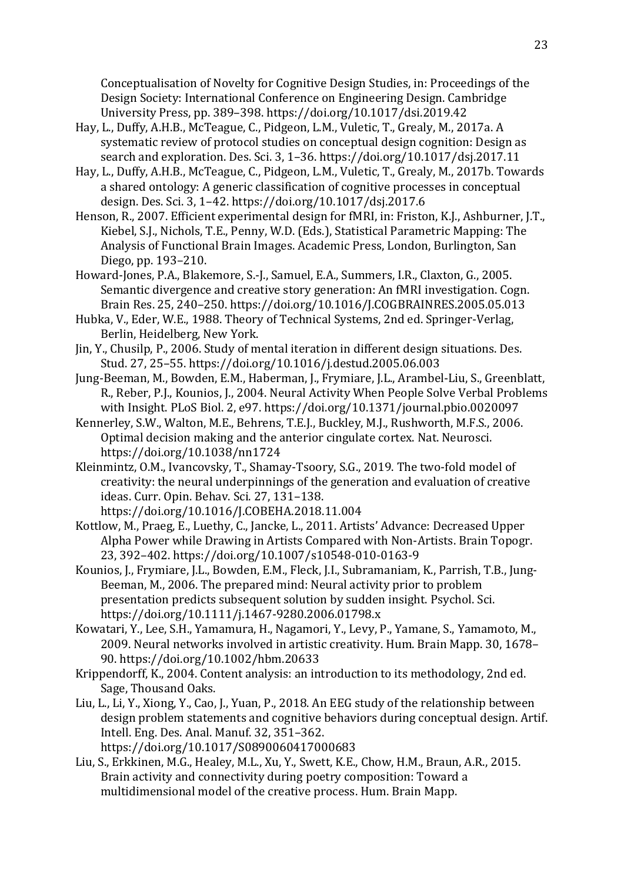Conceptualisation of Novelty for Cognitive Design Studies, in: Proceedings of the Design Society: International Conference on Engineering Design. Cambridge University Press, pp. 389–398. https://doi.org/10.1017/dsi.2019.42

- Hay, L., Duffy, A.H.B., McTeague, C., Pidgeon, L.M., Vuletic, T., Grealy, M., 2017a. A systematic review of protocol studies on conceptual design cognition: Design as search and exploration. Des. Sci. 3, 1–36. https://doi.org/10.1017/dsj.2017.11
- Hay, L., Duffy, A.H.B., McTeague, C., Pidgeon, L.M., Vuletic, T., Grealy, M., 2017b. Towards a shared ontology: A generic classification of cognitive processes in conceptual design. Des. Sci. 3, 1–42. https://doi.org/10.1017/dsj.2017.6
- Henson, R., 2007. Efficient experimental design for fMRI, in: Friston, K.J., Ashburner, J.T., Kiebel, S.J., Nichols, T.E., Penny, W.D. (Eds.), Statistical Parametric Mapping: The Analysis of Functional Brain Images. Academic Press, London, Burlington, San Diego, pp. 193–210.
- Howard-Jones, P.A., Blakemore, S.-J., Samuel, E.A., Summers, I.R., Claxton, G., 2005. Semantic divergence and creative story generation: An fMRI investigation. Cogn. Brain Res. 25, 240–250. https://doi.org/10.1016/J.COGBRAINRES.2005.05.013
- Hubka, V., Eder, W.E., 1988. Theory of Technical Systems, 2nd ed. Springer-Verlag, Berlin, Heidelberg, New York.
- Jin, Y., Chusilp, P., 2006. Study of mental iteration in different design situations. Des. Stud. 27, 25–55. https://doi.org/10.1016/j.destud.2005.06.003
- Jung-Beeman, M., Bowden, E.M., Haberman, J., Frymiare, J.L., Arambel-Liu, S., Greenblatt, R., Reber, P.J., Kounios, J., 2004. Neural Activity When People Solve Verbal Problems with Insight. PLoS Biol. 2, e97. https://doi.org/10.1371/journal.pbio.0020097
- Kennerley, S.W., Walton, M.E., Behrens, T.E.J., Buckley, M.J., Rushworth, M.F.S., 2006. Optimal decision making and the anterior cingulate cortex. Nat. Neurosci. https://doi.org/10.1038/nn1724
- Kleinmintz, O.M., Ivancovsky, T., Shamay-Tsoory, S.G., 2019. The two-fold model of creativity: the neural underpinnings of the generation and evaluation of creative ideas. Curr. Opin. Behav. Sci. 27, 131–138.

```
https://doi.org/10.1016/J.COBEHA.2018.11.004
```
- Kottlow, M., Praeg, E., Luethy, C., Jancke, L., 2011. Artists' Advance: Decreased Upper Alpha Power while Drawing in Artists Compared with Non-Artists. Brain Topogr. 23, 392–402. https://doi.org/10.1007/s10548-010-0163-9
- Kounios, J., Frymiare, J.L., Bowden, E.M., Fleck, J.I., Subramaniam, K., Parrish, T.B., Jung-Beeman, M., 2006. The prepared mind: Neural activity prior to problem presentation predicts subsequent solution by sudden insight. Psychol. Sci. https://doi.org/10.1111/j.1467-9280.2006.01798.x
- Kowatari, Y., Lee, S.H., Yamamura, H., Nagamori, Y., Levy, P., Yamane, S., Yamamoto, M., 2009. Neural networks involved in artistic creativity. Hum. Brain Mapp. 30, 1678– 90. https://doi.org/10.1002/hbm.20633
- Krippendorff, K., 2004. Content analysis: an introduction to its methodology, 2nd ed. Sage, Thousand Oaks.
- Liu, L., Li, Y., Xiong, Y., Cao, J., Yuan, P., 2018. An EEG study of the relationship between design problem statements and cognitive behaviors during conceptual design. Artif. Intell. Eng. Des. Anal. Manuf. 32, 351–362. https://doi.org/10.1017/S0890060417000683
- Liu, S., Erkkinen, M.G., Healey, M.L., Xu, Y., Swett, K.E., Chow, H.M., Braun, A.R., 2015. Brain activity and connectivity during poetry composition: Toward a multidimensional model of the creative process. Hum. Brain Mapp.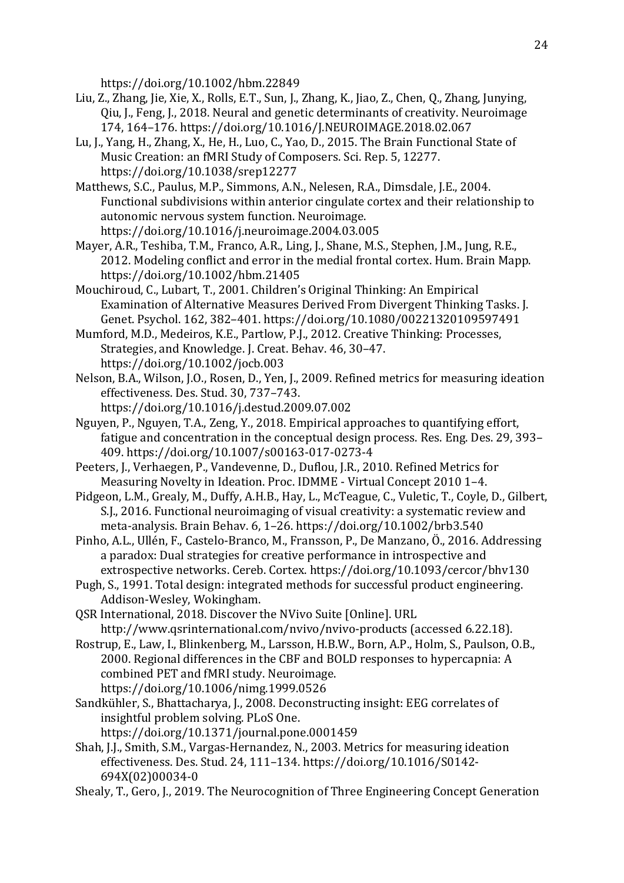https://doi.org/10.1002/hbm.22849

- Liu, Z., Zhang, Jie, Xie, X., Rolls, E.T., Sun, J., Zhang, K., Jiao, Z., Chen, Q., Zhang, Junying, Qiu, J., Feng, J., 2018. Neural and genetic determinants of creativity. Neuroimage 174, 164–176. https://doi.org/10.1016/J.NEUROIMAGE.2018.02.067
- Lu, J., Yang, H., Zhang, X., He, H., Luo, C., Yao, D., 2015. The Brain Functional State of Music Creation: an fMRI Study of Composers. Sci. Rep. 5, 12277. https://doi.org/10.1038/srep12277
- Matthews, S.C., Paulus, M.P., Simmons, A.N., Nelesen, R.A., Dimsdale, J.E., 2004. Functional subdivisions within anterior cingulate cortex and their relationship to autonomic nervous system function. Neuroimage. https://doi.org/10.1016/j.neuroimage.2004.03.005
- Mayer, A.R., Teshiba, T.M., Franco, A.R., Ling, J., Shane, M.S., Stephen, J.M., Jung, R.E., 2012. Modeling conflict and error in the medial frontal cortex. Hum. Brain Mapp. https://doi.org/10.1002/hbm.21405
- Mouchiroud, C., Lubart, T., 2001. Children's Original Thinking: An Empirical Examination of Alternative Measures Derived From Divergent Thinking Tasks. J. Genet. Psychol. 162, 382–401. https://doi.org/10.1080/00221320109597491
- Mumford, M.D., Medeiros, K.E., Partlow, P.J., 2012. Creative Thinking: Processes, Strategies, and Knowledge. J. Creat. Behav. 46, 30–47. https://doi.org/10.1002/jocb.003
- Nelson, B.A., Wilson, J.O., Rosen, D., Yen, J., 2009. Refined metrics for measuring ideation effectiveness. Des. Stud. 30, 737–743. https://doi.org/10.1016/j.destud.2009.07.002
- Nguyen, P., Nguyen, T.A., Zeng, Y., 2018. Empirical approaches to quantifying effort, fatigue and concentration in the conceptual design process. Res. Eng. Des. 29, 393– 409. https://doi.org/10.1007/s00163-017-0273-4
- Peeters, J., Verhaegen, P., Vandevenne, D., Duflou, J.R., 2010. Refined Metrics for Measuring Novelty in Ideation. Proc. IDMME - Virtual Concept 2010 1–4.
- Pidgeon, L.M., Grealy, M., Duffy, A.H.B., Hay, L., McTeague, C., Vuletic, T., Coyle, D., Gilbert, S.J., 2016. Functional neuroimaging of visual creativity: a systematic review and meta-analysis. Brain Behav. 6, 1–26. https://doi.org/10.1002/brb3.540
- Pinho, A.L., Ullén, F., Castelo-Branco, M., Fransson, P., De Manzano, Ö., 2016. Addressing a paradox: Dual strategies for creative performance in introspective and extrospective networks. Cereb. Cortex. https://doi.org/10.1093/cercor/bhv130
- Pugh, S., 1991. Total design: integrated methods for successful product engineering. Addison-Wesley, Wokingham.
- QSR International, 2018. Discover the NVivo Suite [Online]. URL http://www.qsrinternational.com/nvivo/nvivo-products (accessed 6.22.18).
- Rostrup, E., Law, I., Blinkenberg, M., Larsson, H.B.W., Born, A.P., Holm, S., Paulson, O.B., 2000. Regional differences in the CBF and BOLD responses to hypercapnia: A combined PET and fMRI study. Neuroimage. https://doi.org/10.1006/nimg.1999.0526
- Sandkühler, S., Bhattacharya, J., 2008. Deconstructing insight: EEG correlates of insightful problem solving. PLoS One. https://doi.org/10.1371/journal.pone.0001459
- Shah, J.J., Smith, S.M., Vargas-Hernandez, N., 2003. Metrics for measuring ideation effectiveness. Des. Stud. 24, 111–134. https://doi.org/10.1016/S0142- 694X(02)00034-0
- Shealy, T., Gero, J., 2019. The Neurocognition of Three Engineering Concept Generation